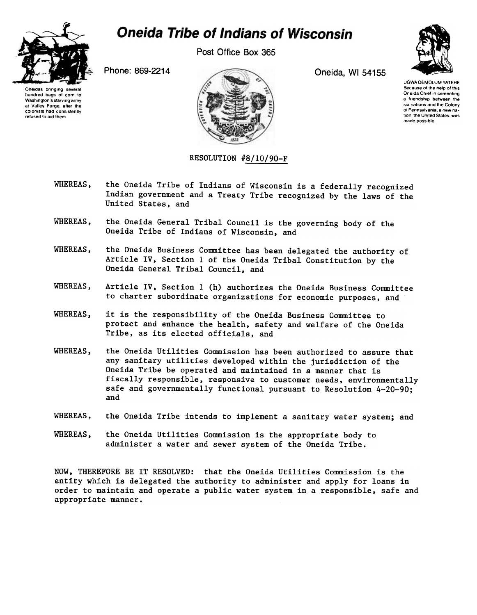

## **Oneida Tribe of Indians of Wisconsin**

Post Office Box 365



UGWA DEMOLUM YATEHE Because 01 the help 01 this Oneida Chief in cementing a friendship between the six nations and the Colony of Pennsylvania. a new nation, the United States, was made possible





## RESOLUTION #8/10/90-F

- WHEREAS, the Oneida Tribe of Indians of Wisconsin is a federally recognized Indian government and a Treaty Tribe recognized by the laws of the United States, and
- WHEREAS, the Oneida General Tribal Council is the governing body of the Oneida Tribe of Indians of Wisconsin, and
- WHEREAS, the Oneida Business Committee has been delegated the authority of Article IV, Section 1 of the Oneida Tribal Constitution by the Oneida General Tribal Council, and
- WHEREAS, Article IV, Section 1 (h) authorizes the Oneida Business Committee to charter subordinate organizations for economic purposes, and
- WHEREAS, it is the responsibility of the Oneida Business Committee to protect and enhance the health, safety and welfare of the Oneida Tribe, as its elected officials, and
- WHEREAS, the Oneida Utilities Commission has been authorized to assure that any sanitary utilities developed within the jurisdiction of the Oneida Tribe be operated and maintained in a manner that is fiscally responsible, responsive to customer needs, environmentally safe and governmentally functional pursuant to Resolution 4-20-90; and
- WHEREAS, the Oneida Tribe intends to implement a sanitary water system; and
- WHEREAS, the Oneida Utilities Commission is the appropriate body to administer a water and sewer system of the Oneida Tribe.

NOW, THEREFORE BE IT RESOLVED: that the Oneida Utilities Commission is the entity which is delegated the authority to administer and apply for loans in order to maintain and operate a public water system in a responsible, safe and appropriate manner.